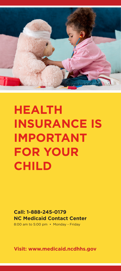

## **HEALTH INSURANCE IS IMPORTANT FOR YOUR CHILD**

**Call: 1-888-245-0179 NC Medicaid Contact Center** 8:00 am to 5:00 pm • Monday - Friday

**Visit: www.medicaid.ncdhhs.gov**